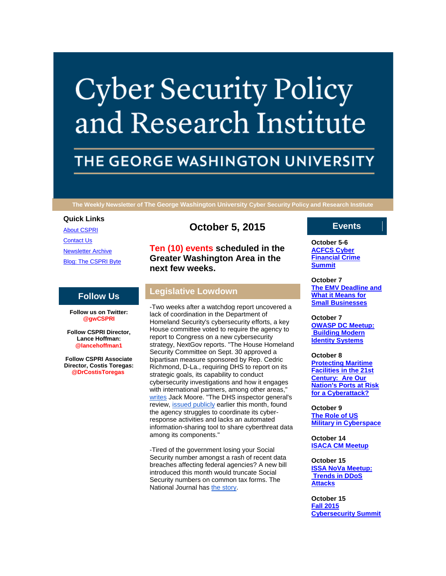# **Cyber Security Policy** and Research Institute

# THE GEORGE WASHINGTON UNIVERSITY

**The Weekly Newsletter of The George Washington University Cyber Security Policy and Research Institute**

# **Quick Links**

[About CSPRI](http://r20.rs6.net/tn.jsp?f=001lf5fmuWkKHE88k9EEwmr89TklXThfy8Dr-uYs7EYguoqWLNxynubqxMXltQGRbnzxgRLSDdKlCLvuzoRiTHtmkqNpQhfOLieudzulstliQhIXWfmnqUAKsK_cnYM2T1uzaG3RY8zWGkGsxDrAmkp_VFlS9pwW-Bg8wWQgi36ZVesAziIEngVzNVpOJPW4cWT&c=ndz73bQsL1nZPF1UN-uF4MAg3l2Iu6suUAtzuo4QR3VgNHiL6BFngg==&ch=moLqLqSlm6QzQGUk00Qi3sKqsod7q81abu1cce-lKfJODWNtaqNuWw==) [Contact Us](http://r20.rs6.net/tn.jsp?f=001lf5fmuWkKHE88k9EEwmr89TklXThfy8Dr-uYs7EYguoqWLNxynubqxMXltQGRbnzPY7E5F5d1cepqxkAYOgI3YavPSr4IFa165EYEsEJaxe6dZhH_BZYdAPc0bkN2kZmCc5mzH2SqzCsYJUYi2SjZjZz-tZ7tlfmfnptzGT5n5jl3rK_dz_4UAJpd4ejJWV4GZtVieoZuKk=&c=ndz73bQsL1nZPF1UN-uF4MAg3l2Iu6suUAtzuo4QR3VgNHiL6BFngg==&ch=moLqLqSlm6QzQGUk00Qi3sKqsod7q81abu1cce-lKfJODWNtaqNuWw==) [Newsletter Archive](http://r20.rs6.net/tn.jsp?f=001lf5fmuWkKHE88k9EEwmr89TklXThfy8Dr-uYs7EYguoqWLNxynubqxMXltQGRbnzibNPe1md_UOKVxoFzMuomISaseIJnaFOB9owG2e22KmlEsR0Rlez4rlwvSLc8-4yhMtbUOeMhZqUZG2Qn_A-FTqrXeYcqZ_aXYoTLZYCX1HTYt_xmvmVs4rs6Y-Bki_d0GhGJLpQ1is=&c=ndz73bQsL1nZPF1UN-uF4MAg3l2Iu6suUAtzuo4QR3VgNHiL6BFngg==&ch=moLqLqSlm6QzQGUk00Qi3sKqsod7q81abu1cce-lKfJODWNtaqNuWw==) [Blog: The CSPRI Byte](http://r20.rs6.net/tn.jsp?f=001lf5fmuWkKHE88k9EEwmr89TklXThfy8Dr-uYs7EYguoqWLNxynubqxMXltQGRbnzhqahQMVOLto7xwrrmlr7DgBka45YRDKUddYqPlvUMMOgLttNzlVCHmXyoNDmP7AvyJOSx1KLBoqz866RL-ha4bb7JXefNIb0eMrAEmILqL3mXcDELesL5z-KnZ6M32et&c=ndz73bQsL1nZPF1UN-uF4MAg3l2Iu6suUAtzuo4QR3VgNHiL6BFngg==&ch=moLqLqSlm6QzQGUk00Qi3sKqsod7q81abu1cce-lKfJODWNtaqNuWw==)

# **Follow Us**

**Follow us on Twitter: @gwCSPRI**

**Follow CSPRI Director, Lance Hoffman: @lancehoffman1**

**Follow CSPRI Associate Director, Costis Toregas: @DrCostisToregas**

# **October 5, 2015**

**Ten (10) events scheduled in the Greater Washington Area in the next few weeks.**

# **Legislative Lowdown**

-Two weeks after a watchdog report uncovered a lack of coordination in the Department of Homeland Security's cybersecurity efforts, a key House committee voted to require the agency to report to Congress on a new cybersecurity strategy, NextGov reports. "The House Homeland Security Committee on Sept. 30 approved a bipartisan measure sponsored by Rep. Cedric Richmond, D-La., requiring DHS to report on its strategic goals, its capability to conduct cybersecurity investigations and how it engages with international partners, among other areas," [writes](http://r20.rs6.net/tn.jsp?f=001lf5fmuWkKHE88k9EEwmr89TklXThfy8Dr-uYs7EYguoqWLNxynubq08q0LcogXF6XX_JvzTluy7orhJFkaiiI9v9SZ_s9qPffnJPhqF3cMg3XbGkNVvkoO8n1SQpASzSOOTfOecJXAKcOiqKkXeJIU8oCs_07nHAAK70QPK5ix6sf5X1FUQB2Ur7TvX_ROY1I_wTJ0nz2DwYX82ElQC1Jk8ry5kH9GWszaRzzE-w4zibmONamUokLXDDlj2VzbRpWgac7p0sZqMskq-wzJQ0ujhPJk2UBqNBz7-CBPpWsJ9nQTbJtEevHcooEk0Yg-_B&c=ndz73bQsL1nZPF1UN-uF4MAg3l2Iu6suUAtzuo4QR3VgNHiL6BFngg==&ch=moLqLqSlm6QzQGUk00Qi3sKqsod7q81abu1cce-lKfJODWNtaqNuWw==) Jack Moore. "The DHS inspector general's review, [issued publicly](http://r20.rs6.net/tn.jsp?f=001lf5fmuWkKHE88k9EEwmr89TklXThfy8Dr-uYs7EYguoqWLNxynubq08q0LcogXF6Km3Q3zHJ3UThJOyh7-zMM__MXCpFH6V87_wgBIKXQg51OWbL4x1gGZ-TcpfBlLWCHmQDAUKWDe3MX_9AGJdHgYZ-JAyIsTjBiGXSKWRjxSzig7ppsQGf3vg9roYR8cisrd6u6LxNz03t_QLDD9oFxeDi3mhUNY6sA4JMksTqC7HyWLU4dd4d2an1exInA97nrlMzleJyexLAH5xnMgHrIxE40o-GrvdI&c=ndz73bQsL1nZPF1UN-uF4MAg3l2Iu6suUAtzuo4QR3VgNHiL6BFngg==&ch=moLqLqSlm6QzQGUk00Qi3sKqsod7q81abu1cce-lKfJODWNtaqNuWw==) earlier this month, found the agency struggles to coordinate its cyberresponse activities and lacks an automated information-sharing tool to share cyberthreat data among its components."

-Tired of the government losing your Social Security number amongst a rash of recent data breaches affecting federal agencies? A new bill introduced this month would truncate Social Security numbers on common tax forms. The National Journal has [the story.](http://r20.rs6.net/tn.jsp?f=001lf5fmuWkKHE88k9EEwmr89TklXThfy8Dr-uYs7EYguoqWLNxynubq08q0LcogXF6WNKsZOM8KUGStHMjFVe4S2D4lK9wgJyHLSNUNh7FtgEqkBKAGbcjEAlR4dL_n2Zr1SffZgxbGXfddpfzpURWV2k9comPIzmAAh1YTl5rxyNVPXIEkR7VfEhAv5rdhyv7rZUCNQqnsbV54wHHlViK6OhO5vNDBOQOaJdLnGxi38RVg9Hc_xyfDIrqiog3YtNC0bZS38TIA2JZPHO-tDKJBQ_p8MrviwxopiYSouzkOqIJmqKFnCNincPXq8ygu3IfQVWIVyFfRNk=&c=ndz73bQsL1nZPF1UN-uF4MAg3l2Iu6suUAtzuo4QR3VgNHiL6BFngg==&ch=moLqLqSlm6QzQGUk00Qi3sKqsod7q81abu1cce-lKfJODWNtaqNuWw==)

# **Events**

**October 5-6 [ACFCS Cyber](http://r20.rs6.net/tn.jsp?f=001lf5fmuWkKHE88k9EEwmr89TklXThfy8Dr-uYs7EYguoqWLNxynubq1zpA-OJzqA-zd3EV_-Ca_-Hm326na7Y-6Xl8DqrdyRIj2XOUZ1EQ324nJj6CsJrvH3rQcpWrQG-c0a7qHpI7BOk3KnncBh25omWhW9AMDyemR2amojp3i0_-f6_sDY2nHnQ0PIB8Aehg6EeUmU3cm4=&c=ndz73bQsL1nZPF1UN-uF4MAg3l2Iu6suUAtzuo4QR3VgNHiL6BFngg==&ch=moLqLqSlm6QzQGUk00Qi3sKqsod7q81abu1cce-lKfJODWNtaqNuWw==)  [Financial Crime](http://r20.rs6.net/tn.jsp?f=001lf5fmuWkKHE88k9EEwmr89TklXThfy8Dr-uYs7EYguoqWLNxynubq1zpA-OJzqA-zd3EV_-Ca_-Hm326na7Y-6Xl8DqrdyRIj2XOUZ1EQ324nJj6CsJrvH3rQcpWrQG-c0a7qHpI7BOk3KnncBh25omWhW9AMDyemR2amojp3i0_-f6_sDY2nHnQ0PIB8Aehg6EeUmU3cm4=&c=ndz73bQsL1nZPF1UN-uF4MAg3l2Iu6suUAtzuo4QR3VgNHiL6BFngg==&ch=moLqLqSlm6QzQGUk00Qi3sKqsod7q81abu1cce-lKfJODWNtaqNuWw==)  [Summit](http://r20.rs6.net/tn.jsp?f=001lf5fmuWkKHE88k9EEwmr89TklXThfy8Dr-uYs7EYguoqWLNxynubq1zpA-OJzqA-zd3EV_-Ca_-Hm326na7Y-6Xl8DqrdyRIj2XOUZ1EQ324nJj6CsJrvH3rQcpWrQG-c0a7qHpI7BOk3KnncBh25omWhW9AMDyemR2amojp3i0_-f6_sDY2nHnQ0PIB8Aehg6EeUmU3cm4=&c=ndz73bQsL1nZPF1UN-uF4MAg3l2Iu6suUAtzuo4QR3VgNHiL6BFngg==&ch=moLqLqSlm6QzQGUk00Qi3sKqsod7q81abu1cce-lKfJODWNtaqNuWw==)**

**October 7 [The EMV Deadline and](http://r20.rs6.net/tn.jsp?f=001lf5fmuWkKHE88k9EEwmr89TklXThfy8Dr-uYs7EYguoqWLNxynubq1zpA-OJzqA-zd3EV_-Ca_-Hm326na7Y-6Xl8DqrdyRIj2XOUZ1EQ324nJj6CsJrvH3rQcpWrQG-c0a7qHpI7BOk3KnncBh25omWhW9AMDyemR2amojp3i0_-f6_sDY2nHnQ0PIB8Aehg6EeUmU3cm4=&c=ndz73bQsL1nZPF1UN-uF4MAg3l2Iu6suUAtzuo4QR3VgNHiL6BFngg==&ch=moLqLqSlm6QzQGUk00Qi3sKqsod7q81abu1cce-lKfJODWNtaqNuWw==)  [What it Means for](http://r20.rs6.net/tn.jsp?f=001lf5fmuWkKHE88k9EEwmr89TklXThfy8Dr-uYs7EYguoqWLNxynubq1zpA-OJzqA-zd3EV_-Ca_-Hm326na7Y-6Xl8DqrdyRIj2XOUZ1EQ324nJj6CsJrvH3rQcpWrQG-c0a7qHpI7BOk3KnncBh25omWhW9AMDyemR2amojp3i0_-f6_sDY2nHnQ0PIB8Aehg6EeUmU3cm4=&c=ndz73bQsL1nZPF1UN-uF4MAg3l2Iu6suUAtzuo4QR3VgNHiL6BFngg==&ch=moLqLqSlm6QzQGUk00Qi3sKqsod7q81abu1cce-lKfJODWNtaqNuWw==)  [Small Businesses](http://r20.rs6.net/tn.jsp?f=001lf5fmuWkKHE88k9EEwmr89TklXThfy8Dr-uYs7EYguoqWLNxynubq1zpA-OJzqA-zd3EV_-Ca_-Hm326na7Y-6Xl8DqrdyRIj2XOUZ1EQ324nJj6CsJrvH3rQcpWrQG-c0a7qHpI7BOk3KnncBh25omWhW9AMDyemR2amojp3i0_-f6_sDY2nHnQ0PIB8Aehg6EeUmU3cm4=&c=ndz73bQsL1nZPF1UN-uF4MAg3l2Iu6suUAtzuo4QR3VgNHiL6BFngg==&ch=moLqLqSlm6QzQGUk00Qi3sKqsod7q81abu1cce-lKfJODWNtaqNuWw==)**

#### **October 7**

**[OWASP DC Meetup:](http://r20.rs6.net/tn.jsp?f=001lf5fmuWkKHE88k9EEwmr89TklXThfy8Dr-uYs7EYguoqWLNxynubq1zpA-OJzqA-zd3EV_-Ca_-Hm326na7Y-6Xl8DqrdyRIj2XOUZ1EQ324nJj6CsJrvH3rQcpWrQG-c0a7qHpI7BOk3KnncBh25omWhW9AMDyemR2amojp3i0_-f6_sDY2nHnQ0PIB8Aehg6EeUmU3cm4=&c=ndz73bQsL1nZPF1UN-uF4MAg3l2Iu6suUAtzuo4QR3VgNHiL6BFngg==&ch=moLqLqSlm6QzQGUk00Qi3sKqsod7q81abu1cce-lKfJODWNtaqNuWw==)  [Building Modern](http://r20.rs6.net/tn.jsp?f=001lf5fmuWkKHE88k9EEwmr89TklXThfy8Dr-uYs7EYguoqWLNxynubq1zpA-OJzqA-zd3EV_-Ca_-Hm326na7Y-6Xl8DqrdyRIj2XOUZ1EQ324nJj6CsJrvH3rQcpWrQG-c0a7qHpI7BOk3KnncBh25omWhW9AMDyemR2amojp3i0_-f6_sDY2nHnQ0PIB8Aehg6EeUmU3cm4=&c=ndz73bQsL1nZPF1UN-uF4MAg3l2Iu6suUAtzuo4QR3VgNHiL6BFngg==&ch=moLqLqSlm6QzQGUk00Qi3sKqsod7q81abu1cce-lKfJODWNtaqNuWw==)  [Identity Systems](http://r20.rs6.net/tn.jsp?f=001lf5fmuWkKHE88k9EEwmr89TklXThfy8Dr-uYs7EYguoqWLNxynubq1zpA-OJzqA-zd3EV_-Ca_-Hm326na7Y-6Xl8DqrdyRIj2XOUZ1EQ324nJj6CsJrvH3rQcpWrQG-c0a7qHpI7BOk3KnncBh25omWhW9AMDyemR2amojp3i0_-f6_sDY2nHnQ0PIB8Aehg6EeUmU3cm4=&c=ndz73bQsL1nZPF1UN-uF4MAg3l2Iu6suUAtzuo4QR3VgNHiL6BFngg==&ch=moLqLqSlm6QzQGUk00Qi3sKqsod7q81abu1cce-lKfJODWNtaqNuWw==)**

#### **October 8**

**[Protecting Maritime](http://r20.rs6.net/tn.jsp?f=001lf5fmuWkKHE88k9EEwmr89TklXThfy8Dr-uYs7EYguoqWLNxynubq1zpA-OJzqA-zd3EV_-Ca_-Hm326na7Y-6Xl8DqrdyRIj2XOUZ1EQ324nJj6CsJrvH3rQcpWrQG-c0a7qHpI7BOk3KnncBh25omWhW9AMDyemR2amojp3i0_-f6_sDY2nHnQ0PIB8Aehg6EeUmU3cm4=&c=ndz73bQsL1nZPF1UN-uF4MAg3l2Iu6suUAtzuo4QR3VgNHiL6BFngg==&ch=moLqLqSlm6QzQGUk00Qi3sKqsod7q81abu1cce-lKfJODWNtaqNuWw==)  [Facilities in the 21st](http://r20.rs6.net/tn.jsp?f=001lf5fmuWkKHE88k9EEwmr89TklXThfy8Dr-uYs7EYguoqWLNxynubq1zpA-OJzqA-zd3EV_-Ca_-Hm326na7Y-6Xl8DqrdyRIj2XOUZ1EQ324nJj6CsJrvH3rQcpWrQG-c0a7qHpI7BOk3KnncBh25omWhW9AMDyemR2amojp3i0_-f6_sDY2nHnQ0PIB8Aehg6EeUmU3cm4=&c=ndz73bQsL1nZPF1UN-uF4MAg3l2Iu6suUAtzuo4QR3VgNHiL6BFngg==&ch=moLqLqSlm6QzQGUk00Qi3sKqsod7q81abu1cce-lKfJODWNtaqNuWw==)  [Century: Are Our](http://r20.rs6.net/tn.jsp?f=001lf5fmuWkKHE88k9EEwmr89TklXThfy8Dr-uYs7EYguoqWLNxynubq1zpA-OJzqA-zd3EV_-Ca_-Hm326na7Y-6Xl8DqrdyRIj2XOUZ1EQ324nJj6CsJrvH3rQcpWrQG-c0a7qHpI7BOk3KnncBh25omWhW9AMDyemR2amojp3i0_-f6_sDY2nHnQ0PIB8Aehg6EeUmU3cm4=&c=ndz73bQsL1nZPF1UN-uF4MAg3l2Iu6suUAtzuo4QR3VgNHiL6BFngg==&ch=moLqLqSlm6QzQGUk00Qi3sKqsod7q81abu1cce-lKfJODWNtaqNuWw==)  [Nation's Ports at Risk](http://r20.rs6.net/tn.jsp?f=001lf5fmuWkKHE88k9EEwmr89TklXThfy8Dr-uYs7EYguoqWLNxynubq1zpA-OJzqA-zd3EV_-Ca_-Hm326na7Y-6Xl8DqrdyRIj2XOUZ1EQ324nJj6CsJrvH3rQcpWrQG-c0a7qHpI7BOk3KnncBh25omWhW9AMDyemR2amojp3i0_-f6_sDY2nHnQ0PIB8Aehg6EeUmU3cm4=&c=ndz73bQsL1nZPF1UN-uF4MAg3l2Iu6suUAtzuo4QR3VgNHiL6BFngg==&ch=moLqLqSlm6QzQGUk00Qi3sKqsod7q81abu1cce-lKfJODWNtaqNuWw==)  [for a Cyberattack?](http://r20.rs6.net/tn.jsp?f=001lf5fmuWkKHE88k9EEwmr89TklXThfy8Dr-uYs7EYguoqWLNxynubq1zpA-OJzqA-zd3EV_-Ca_-Hm326na7Y-6Xl8DqrdyRIj2XOUZ1EQ324nJj6CsJrvH3rQcpWrQG-c0a7qHpI7BOk3KnncBh25omWhW9AMDyemR2amojp3i0_-f6_sDY2nHnQ0PIB8Aehg6EeUmU3cm4=&c=ndz73bQsL1nZPF1UN-uF4MAg3l2Iu6suUAtzuo4QR3VgNHiL6BFngg==&ch=moLqLqSlm6QzQGUk00Qi3sKqsod7q81abu1cce-lKfJODWNtaqNuWw==)**

**October 9 [The Role of US](http://r20.rs6.net/tn.jsp?f=001lf5fmuWkKHE88k9EEwmr89TklXThfy8Dr-uYs7EYguoqWLNxynubq1zpA-OJzqA-zd3EV_-Ca_-Hm326na7Y-6Xl8DqrdyRIj2XOUZ1EQ324nJj6CsJrvH3rQcpWrQG-c0a7qHpI7BOk3KnncBh25omWhW9AMDyemR2amojp3i0_-f6_sDY2nHnQ0PIB8Aehg6EeUmU3cm4=&c=ndz73bQsL1nZPF1UN-uF4MAg3l2Iu6suUAtzuo4QR3VgNHiL6BFngg==&ch=moLqLqSlm6QzQGUk00Qi3sKqsod7q81abu1cce-lKfJODWNtaqNuWw==)  [Military in Cyberspace](http://r20.rs6.net/tn.jsp?f=001lf5fmuWkKHE88k9EEwmr89TklXThfy8Dr-uYs7EYguoqWLNxynubq1zpA-OJzqA-zd3EV_-Ca_-Hm326na7Y-6Xl8DqrdyRIj2XOUZ1EQ324nJj6CsJrvH3rQcpWrQG-c0a7qHpI7BOk3KnncBh25omWhW9AMDyemR2amojp3i0_-f6_sDY2nHnQ0PIB8Aehg6EeUmU3cm4=&c=ndz73bQsL1nZPF1UN-uF4MAg3l2Iu6suUAtzuo4QR3VgNHiL6BFngg==&ch=moLqLqSlm6QzQGUk00Qi3sKqsod7q81abu1cce-lKfJODWNtaqNuWw==)**

**October 14 [ISACA CM Meetup](http://r20.rs6.net/tn.jsp?f=001lf5fmuWkKHE88k9EEwmr89TklXThfy8Dr-uYs7EYguoqWLNxynubq1zpA-OJzqA-zd3EV_-Ca_-Hm326na7Y-6Xl8DqrdyRIj2XOUZ1EQ324nJj6CsJrvH3rQcpWrQG-c0a7qHpI7BOk3KnncBh25omWhW9AMDyemR2amojp3i0_-f6_sDY2nHnQ0PIB8Aehg6EeUmU3cm4=&c=ndz73bQsL1nZPF1UN-uF4MAg3l2Iu6suUAtzuo4QR3VgNHiL6BFngg==&ch=moLqLqSlm6QzQGUk00Qi3sKqsod7q81abu1cce-lKfJODWNtaqNuWw==)**

**October 15 [ISSA NoVa Meetup:](http://r20.rs6.net/tn.jsp?f=001lf5fmuWkKHE88k9EEwmr89TklXThfy8Dr-uYs7EYguoqWLNxynubq1zpA-OJzqA-zd3EV_-Ca_-Hm326na7Y-6Xl8DqrdyRIj2XOUZ1EQ324nJj6CsJrvH3rQcpWrQG-c0a7qHpI7BOk3KnncBh25omWhW9AMDyemR2amojp3i0_-f6_sDY2nHnQ0PIB8Aehg6EeUmU3cm4=&c=ndz73bQsL1nZPF1UN-uF4MAg3l2Iu6suUAtzuo4QR3VgNHiL6BFngg==&ch=moLqLqSlm6QzQGUk00Qi3sKqsod7q81abu1cce-lKfJODWNtaqNuWw==)  [Trends in DDoS](http://r20.rs6.net/tn.jsp?f=001lf5fmuWkKHE88k9EEwmr89TklXThfy8Dr-uYs7EYguoqWLNxynubq1zpA-OJzqA-zd3EV_-Ca_-Hm326na7Y-6Xl8DqrdyRIj2XOUZ1EQ324nJj6CsJrvH3rQcpWrQG-c0a7qHpI7BOk3KnncBh25omWhW9AMDyemR2amojp3i0_-f6_sDY2nHnQ0PIB8Aehg6EeUmU3cm4=&c=ndz73bQsL1nZPF1UN-uF4MAg3l2Iu6suUAtzuo4QR3VgNHiL6BFngg==&ch=moLqLqSlm6QzQGUk00Qi3sKqsod7q81abu1cce-lKfJODWNtaqNuWw==)  [Attacks](http://r20.rs6.net/tn.jsp?f=001lf5fmuWkKHE88k9EEwmr89TklXThfy8Dr-uYs7EYguoqWLNxynubq1zpA-OJzqA-zd3EV_-Ca_-Hm326na7Y-6Xl8DqrdyRIj2XOUZ1EQ324nJj6CsJrvH3rQcpWrQG-c0a7qHpI7BOk3KnncBh25omWhW9AMDyemR2amojp3i0_-f6_sDY2nHnQ0PIB8Aehg6EeUmU3cm4=&c=ndz73bQsL1nZPF1UN-uF4MAg3l2Iu6suUAtzuo4QR3VgNHiL6BFngg==&ch=moLqLqSlm6QzQGUk00Qi3sKqsod7q81abu1cce-lKfJODWNtaqNuWw==)**

**October 15 [Fall 2015](http://r20.rs6.net/tn.jsp?f=001lf5fmuWkKHE88k9EEwmr89TklXThfy8Dr-uYs7EYguoqWLNxynubq1zpA-OJzqA-zd3EV_-Ca_-Hm326na7Y-6Xl8DqrdyRIj2XOUZ1EQ324nJj6CsJrvH3rQcpWrQG-c0a7qHpI7BOk3KnncBh25omWhW9AMDyemR2amojp3i0_-f6_sDY2nHnQ0PIB8Aehg6EeUmU3cm4=&c=ndz73bQsL1nZPF1UN-uF4MAg3l2Iu6suUAtzuo4QR3VgNHiL6BFngg==&ch=moLqLqSlm6QzQGUk00Qi3sKqsod7q81abu1cce-lKfJODWNtaqNuWw==)  [Cybersecurity Summit](http://r20.rs6.net/tn.jsp?f=001lf5fmuWkKHE88k9EEwmr89TklXThfy8Dr-uYs7EYguoqWLNxynubq1zpA-OJzqA-zd3EV_-Ca_-Hm326na7Y-6Xl8DqrdyRIj2XOUZ1EQ324nJj6CsJrvH3rQcpWrQG-c0a7qHpI7BOk3KnncBh25omWhW9AMDyemR2amojp3i0_-f6_sDY2nHnQ0PIB8Aehg6EeUmU3cm4=&c=ndz73bQsL1nZPF1UN-uF4MAg3l2Iu6suUAtzuo4QR3VgNHiL6BFngg==&ch=moLqLqSlm6QzQGUk00Qi3sKqsod7q81abu1cce-lKfJODWNtaqNuWw==)**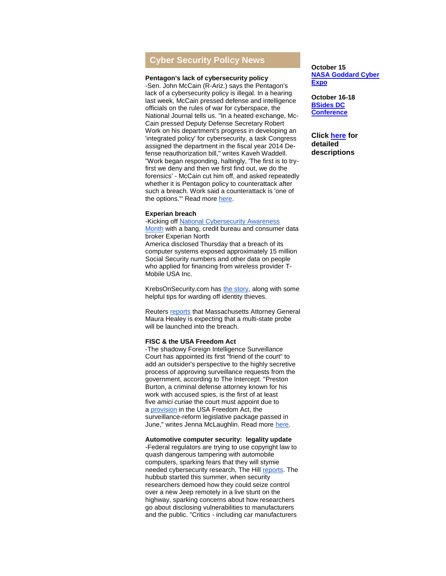# **Cyber Security Policy News**

#### **Pentagon's lack of cybersecurity policy**

-Sen. John McCain (R-Ariz.) says the Pentagon's lack of a cybersecurity policy is illegal. In a hearing last week, McCain pressed defense and intelligence officials on the rules of war for cyberspace, the National Journal tells us. "In a heated exchange, Mc-Cain pressed Deputy Defense Secretary Robert Work on his department's progress in developing an 'integrated policy' for cybersecurity, a task Congress assigned the department in the fiscal year 2014 Defense reauthorization bill," writes Kaveh Waddell. "Work began responding, haltingly, 'The first is to tryfirst we deny and then we first find out, we do the forensics' - McCain cut him off, and asked repeatedly whether it is Pentagon policy to counterattack after such a breach. Work said a counterattack is 'one of the options." Read more [here.](http://r20.rs6.net/tn.jsp?f=001lf5fmuWkKHE88k9EEwmr89TklXThfy8Dr-uYs7EYguoqWLNxynubq08q0LcogXF61awU20r9668KOUjBdr5aYnUNRiZt2MOHt-hzq80I0wxOWPuybvTvLbIytDqTdAkWGOYVqMd9ZFj4YNeoWRvRiHhENRuTIi_1Qqa4e9xzw41BDS0IzlnDZeSAHIryv_dhsaRhBkvVPm5lmmcI0qVfbQzC7WRhrwwZ3-rxAVdqI1twRASM73-znoNREphzkLFA3FGPv2rektLezVUPyoLFym2YNK2IAHG9&c=ndz73bQsL1nZPF1UN-uF4MAg3l2Iu6suUAtzuo4QR3VgNHiL6BFngg==&ch=moLqLqSlm6QzQGUk00Qi3sKqsod7q81abu1cce-lKfJODWNtaqNuWw==)

### **Experian breach**

# -Kicking off National Cybersecurity Awareness

[Month](http://r20.rs6.net/tn.jsp?f=001lf5fmuWkKHE88k9EEwmr89TklXThfy8Dr-uYs7EYguoqWLNxynubq08q0LcogXF6tpqbKECM4Toe0Om8Ap_hRw-TqrTMgfvKvBNtCHDTX_BqfO8K3MIDPg_BVK9K4XsW2eCLaB4SRPSlODQsWtBAYUB3r8f7EhaFE-N7uDAdGzknn--L-Rt3slBEs2XuzyGS&c=ndz73bQsL1nZPF1UN-uF4MAg3l2Iu6suUAtzuo4QR3VgNHiL6BFngg==&ch=moLqLqSlm6QzQGUk00Qi3sKqsod7q81abu1cce-lKfJODWNtaqNuWw==) with a bang, credit bureau and consumer data broker Experian North America disclosed Thursday that a breach of its computer systems exposed approximately 15 million Social Security numbers and other data on people who applied for financing from wireless provider T-Mobile USA Inc.

KrebsOnSecurity.com has [the story,](http://r20.rs6.net/tn.jsp?f=001lf5fmuWkKHE88k9EEwmr89TklXThfy8Dr-uYs7EYguoqWLNxynubq08q0LcogXF6JiH3dCjmGgzGXUlH9Ihru4dr8RQxag9EL-0oht-_JiMnb4YaPY1aihD8OVg1hPNbaJrNnjXxziXI-ptZAWUUSZY3uon3JcOGUOUinniCLOLJABNu7DLdOCGd1EW5V8JcoTVBdtQS9L0hbBg8vw--kxJiY0ef9zQ9ubxFoerOArSLITFeCdV_6i7wPpE-o7Gf&c=ndz73bQsL1nZPF1UN-uF4MAg3l2Iu6suUAtzuo4QR3VgNHiL6BFngg==&ch=moLqLqSlm6QzQGUk00Qi3sKqsod7q81abu1cce-lKfJODWNtaqNuWw==) along with some helpful tips for warding off identity thieves.

Reuters [reports](http://r20.rs6.net/tn.jsp?f=001lf5fmuWkKHE88k9EEwmr89TklXThfy8Dr-uYs7EYguoqWLNxynubq08q0LcogXF6TuEoy7PRy19rQtyZwLkD_yX4FehjdkaTWWj5J4ifh97TzIr_C5wdPT-bfznBxhHrXu7eyLBwcwVgeM_pPDaWlIzMCgnGaW0gfG2RCLQg2bgHZxXnD6MDbks0wyFrOw_MjfH1aworLRR7t-Ac5MvQyxBR8eYK-L8vY0VBaYOa9DS9XU3WW-1CV7vdvaVb7fhcrpx1kJVcR43HjGgZPMliqP0s45DY2K-l&c=ndz73bQsL1nZPF1UN-uF4MAg3l2Iu6suUAtzuo4QR3VgNHiL6BFngg==&ch=moLqLqSlm6QzQGUk00Qi3sKqsod7q81abu1cce-lKfJODWNtaqNuWw==) that Massachusetts Attorney General Maura Healey is expecting that a multi-state probe will be launched into the breach.

#### **FISC & the USA Freedom Act**

-The shadowy Foreign Intelligence Surveillance Court has appointed its first "friend of the court" to add an outsider's perspective to the highly secretive process of approving surveillance requests from the government, according to The Intercept. "Preston Burton, a criminal defense attorney known for his work with accused spies, is the first of at least five *amici curiae* the court must appoint due to a [provision](http://r20.rs6.net/tn.jsp?f=001lf5fmuWkKHE88k9EEwmr89TklXThfy8Dr-uYs7EYguoqWLNxynubqwZBA9E0FIp69QBw4jh612sqFZAWcmt5hMv6UQexQtPXujBZ40AYTzpvEgvBzUPRGXdlHsojm8hkWTLBxbPPB7CD5M5ycWG_TxB2GXHYmLEdJcR1i-I0HeU91gbObvTqevMRelr_pZjc75jN-Tkjuql2OWMvghYbJFfSZxfv9gYhBnKMphhcdOA=&c=ndz73bQsL1nZPF1UN-uF4MAg3l2Iu6suUAtzuo4QR3VgNHiL6BFngg==&ch=moLqLqSlm6QzQGUk00Qi3sKqsod7q81abu1cce-lKfJODWNtaqNuWw==) in the USA Freedom Act, the surveillance-reform legislative package passed in June," writes Jenna McLaughlin. Read more [here.](http://r20.rs6.net/tn.jsp?f=001lf5fmuWkKHE88k9EEwmr89TklXThfy8Dr-uYs7EYguoqWLNxynubqwZBA9E0FIp6RkfhOrxHl_e0K9YrnLe1QfGWNIW9xK-IHyLGcyzzfZmbKbLT5nWkBbn6bWY9M9LcqHa5xutFKor9m8PAJvG14tcPshIdQKMqz-qjiWEJYDcu0euTWo-Mdlex17cPF6_BRMAHORW8ddphPS3j93QOF2g4V5NL6KhdOWEkngiVqZK9MVlLhGpNBgBKaaF8-O6tSqyU6a3a9MCDN6Gx3TruDw==&c=ndz73bQsL1nZPF1UN-uF4MAg3l2Iu6suUAtzuo4QR3VgNHiL6BFngg==&ch=moLqLqSlm6QzQGUk00Qi3sKqsod7q81abu1cce-lKfJODWNtaqNuWw==)

#### **Automotive computer security: legality update**

-Federal regulators are trying to use copyright law to quash dangerous tampering with automobile computers, sparking fears that they will stymie needed cybersecurity research, The Hill [reports.](http://r20.rs6.net/tn.jsp?f=001lf5fmuWkKHE88k9EEwmr89TklXThfy8Dr-uYs7EYguoqWLNxynubq08q0LcogXF6IXVgGhX9CKSoXHIuaHldpVaabrvCHKMqhqUcODyqwZuoRDVB4I1I81uM3YZFOJcl9PalEHP69SJkE3QTEZ57YqxehoFivRNJXvAdW-qshZVLtojm9nekEdGF2lR9PAq_1_cNzmDAAjzRzX2vsz7qpZVr--uBvYroXlQRdjteOQ9jLyOpbhNmAxPabmkfjChWmasb3Q_P6EA=&c=ndz73bQsL1nZPF1UN-uF4MAg3l2Iu6suUAtzuo4QR3VgNHiL6BFngg==&ch=moLqLqSlm6QzQGUk00Qi3sKqsod7q81abu1cce-lKfJODWNtaqNuWw==) The hubbub started this summer, when security researchers demoed how they could seize control over a new Jeep remotely in a live stunt on the highway, sparking concerns about how researchers go about disclosing vulnerabilities to manufacturers and the public. "Critics - including car manufacturers

# **October 15 [NASA Goddard Cyber](http://r20.rs6.net/tn.jsp?f=001lf5fmuWkKHE88k9EEwmr89TklXThfy8Dr-uYs7EYguoqWLNxynubq1zpA-OJzqA-zd3EV_-Ca_-Hm326na7Y-6Xl8DqrdyRIj2XOUZ1EQ324nJj6CsJrvH3rQcpWrQG-c0a7qHpI7BOk3KnncBh25omWhW9AMDyemR2amojp3i0_-f6_sDY2nHnQ0PIB8Aehg6EeUmU3cm4=&c=ndz73bQsL1nZPF1UN-uF4MAg3l2Iu6suUAtzuo4QR3VgNHiL6BFngg==&ch=moLqLqSlm6QzQGUk00Qi3sKqsod7q81abu1cce-lKfJODWNtaqNuWw==)  [Expo](http://r20.rs6.net/tn.jsp?f=001lf5fmuWkKHE88k9EEwmr89TklXThfy8Dr-uYs7EYguoqWLNxynubq1zpA-OJzqA-zd3EV_-Ca_-Hm326na7Y-6Xl8DqrdyRIj2XOUZ1EQ324nJj6CsJrvH3rQcpWrQG-c0a7qHpI7BOk3KnncBh25omWhW9AMDyemR2amojp3i0_-f6_sDY2nHnQ0PIB8Aehg6EeUmU3cm4=&c=ndz73bQsL1nZPF1UN-uF4MAg3l2Iu6suUAtzuo4QR3VgNHiL6BFngg==&ch=moLqLqSlm6QzQGUk00Qi3sKqsod7q81abu1cce-lKfJODWNtaqNuWw==)**

**October 16-18 [BSides DC](http://r20.rs6.net/tn.jsp?f=001lf5fmuWkKHE88k9EEwmr89TklXThfy8Dr-uYs7EYguoqWLNxynubq1zpA-OJzqA-zd3EV_-Ca_-Hm326na7Y-6Xl8DqrdyRIj2XOUZ1EQ324nJj6CsJrvH3rQcpWrQG-c0a7qHpI7BOk3KnncBh25omWhW9AMDyemR2amojp3i0_-f6_sDY2nHnQ0PIB8Aehg6EeUmU3cm4=&c=ndz73bQsL1nZPF1UN-uF4MAg3l2Iu6suUAtzuo4QR3VgNHiL6BFngg==&ch=moLqLqSlm6QzQGUk00Qi3sKqsod7q81abu1cce-lKfJODWNtaqNuWw==)  [Conference](http://r20.rs6.net/tn.jsp?f=001lf5fmuWkKHE88k9EEwmr89TklXThfy8Dr-uYs7EYguoqWLNxynubq1zpA-OJzqA-zd3EV_-Ca_-Hm326na7Y-6Xl8DqrdyRIj2XOUZ1EQ324nJj6CsJrvH3rQcpWrQG-c0a7qHpI7BOk3KnncBh25omWhW9AMDyemR2amojp3i0_-f6_sDY2nHnQ0PIB8Aehg6EeUmU3cm4=&c=ndz73bQsL1nZPF1UN-uF4MAg3l2Iu6suUAtzuo4QR3VgNHiL6BFngg==&ch=moLqLqSlm6QzQGUk00Qi3sKqsod7q81abu1cce-lKfJODWNtaqNuWw==)**

**Click [here](http://r20.rs6.net/tn.jsp?f=001lf5fmuWkKHE88k9EEwmr89TklXThfy8Dr-uYs7EYguoqWLNxynubqxMXltQGRbnzPZiYqMG8L-KjRnls67wsogPg-mO8cVWkpGw-jRlXWKmyIIHE1sKR7J2G3NmqkCDam8xrt-ZoWm4e9x4l9511vRgQpsLipRBEWa4HXM5o_IKqoM_8FIb_2SD6U07o4r44aZuwkxollnzFF51YxLfoOw==&c=ndz73bQsL1nZPF1UN-uF4MAg3l2Iu6suUAtzuo4QR3VgNHiL6BFngg==&ch=moLqLqSlm6QzQGUk00Qi3sKqsod7q81abu1cce-lKfJODWNtaqNuWw==) for detailed descriptions**